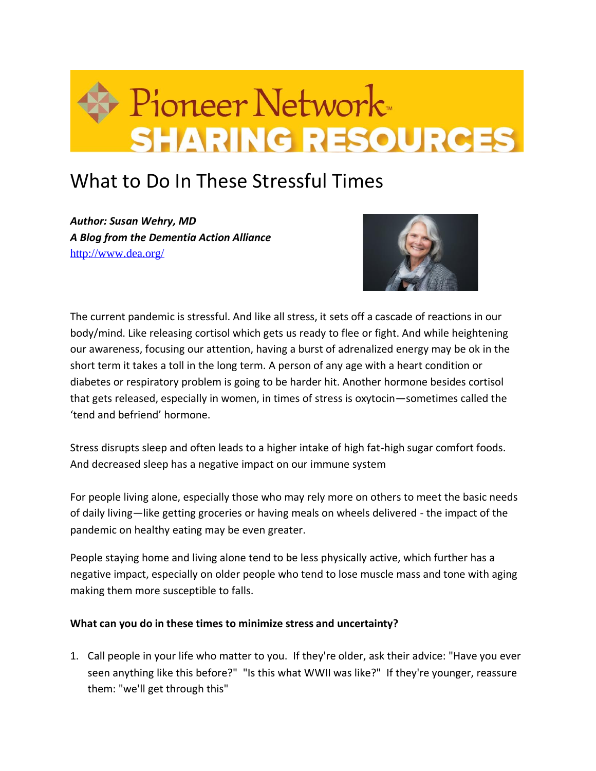

## What to Do In These Stressful Times

*Author: Susan Wehry, MD A Blog from the Dementia Action Alliance* <http://www.dea.org/>



The current pandemic is stressful. And like all stress, it sets off a cascade of reactions in our body/mind. Like releasing cortisol which gets us ready to flee or fight. And while heightening our awareness, focusing our attention, having a burst of adrenalized energy may be ok in the short term it takes a toll in the long term. A person of any age with a heart condition or diabetes or respiratory problem is going to be harder hit. Another hormone besides cortisol that gets released, especially in women, in times of stress is oxytocin—sometimes called the 'tend and befriend' hormone.

Stress disrupts sleep and often leads to a higher intake of high fat-high sugar comfort foods. And decreased sleep has a negative impact on our immune system

For people living alone, especially those who may rely more on others to meet the basic needs of daily living—like getting groceries or having meals on wheels delivered - the impact of the pandemic on healthy eating may be even greater.

People staying home and living alone tend to be less physically active, which further has a negative impact, especially on older people who tend to lose muscle mass and tone with aging making them more susceptible to falls.

## **What can you do in these times to minimize stress and uncertainty?**

1. Call people in your life who matter to you. If they're older, ask their advice: "Have you ever seen anything like this before?" "Is this what WWII was like?" If they're younger, reassure them: "we'll get through this"